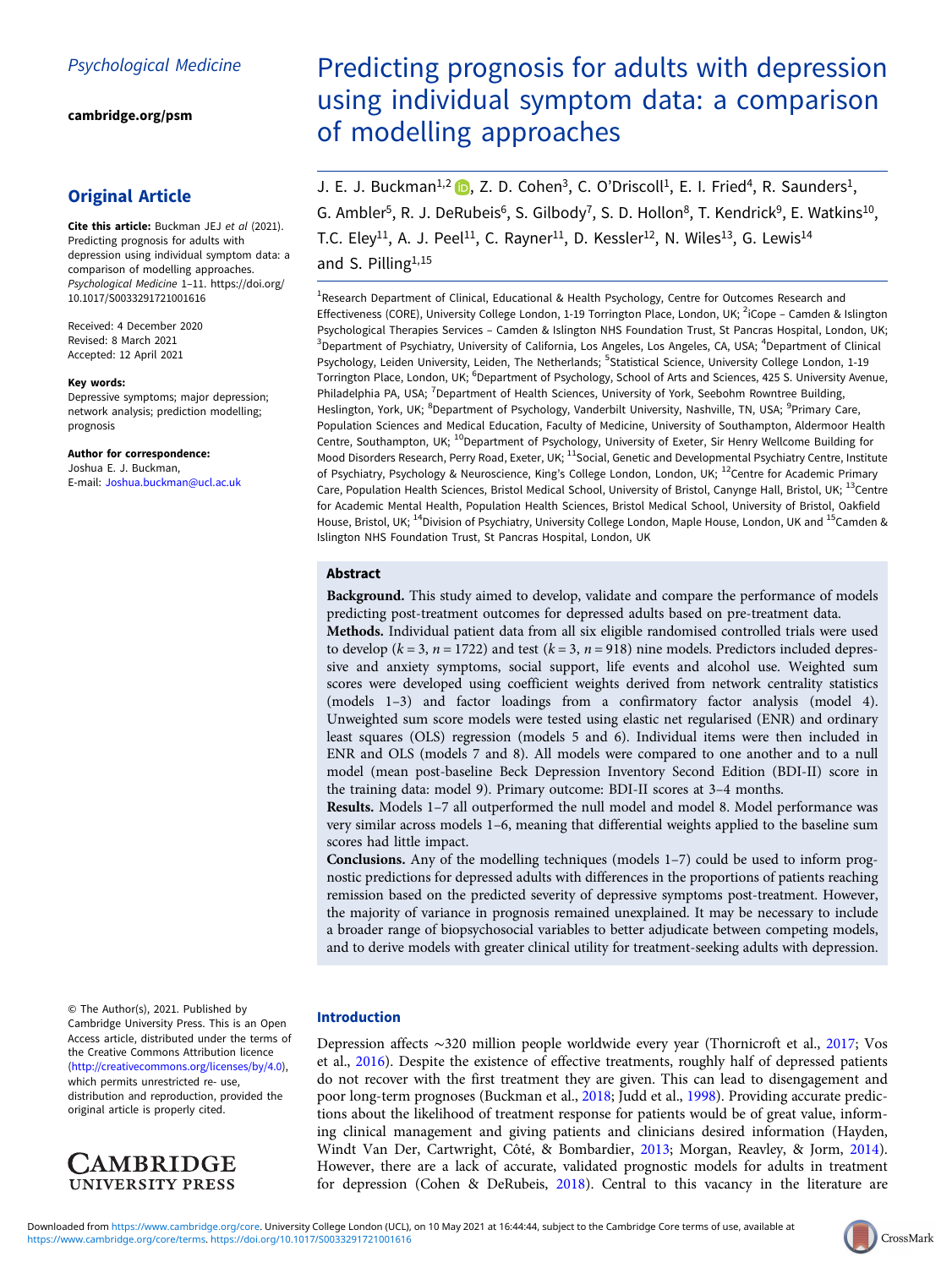[cambridge.org/psm](https://www.cambridge.org/psm)

# Original Article

Cite this article: Buckman JEJ et al (2021). Predicting prognosis for adults with depression using individual symptom data: a comparison of modelling approaches. Psychological Medicine 1–11. [https://doi.org/](https://doi.org/10.1017/S0033291721001616) [10.1017/S0033291721001616](https://doi.org/10.1017/S0033291721001616)

Received: 4 December 2020 Revised: 8 March 2021 Accepted: 12 April 2021

#### Key words:

Depressive symptoms; major depression; network analysis; prediction modelling; prognosis

Author for correspondence: Joshua E. J. Buckman, E-mail: [Joshua.buckman@ucl.ac.uk](mailto:Joshua.buckman@ucl.ac.uk)

© The Author(s), 2021. Published by Cambridge University Press. This is an Open Access article, distributed under the terms of the Creative Commons Attribution licence (<http://creativecommons.org/licenses/by/4.0>), which permits unrestricted re- use, distribution and reproduction, provided the original article is properly cited.



# Predicting prognosis for adults with depression using individual symptom data: a comparison of modelling approaches

J. E. J. Buckman<sup>1,2</sup>  $\Box$ , Z. D. Cohen<sup>3</sup>, C. O'Driscoll<sup>1</sup>, E. I. Fried<sup>4</sup>, R. Saunders<sup>1</sup>, G. Ambler<sup>5</sup>, R. J. DeRubeis<sup>6</sup>, S. Gilbody<sup>7</sup>, S. D. Hollon<sup>8</sup>, T. Kendrick<sup>9</sup>, E. Watkins<sup>10</sup>, T.C. Eley<sup>11</sup>, A. J. Peel<sup>11</sup>, C. Rayner<sup>11</sup>, D. Kessler<sup>12</sup>, N. Wiles<sup>13</sup>, G. Lewis<sup>14</sup> and S. Pilling<sup>1,15</sup>

<sup>1</sup>Research Department of Clinical, Educational & Health Psychology, Centre for Outcomes Research and Effectiveness (CORE), University College London, 1-19 Torrington Place, London, UK; <sup>2</sup>iCope - Camden & Islington Psychological Therapies Services – Camden & Islington NHS Foundation Trust, St Pancras Hospital, London, UK; <sup>3</sup>Department of Psychiatry, University of California, Los Angeles, Los Angeles, CA, USA; <sup>4</sup>Department of Clinical Psychology, Leiden University, Leiden, The Netherlands; <sup>5</sup>Statistical Science, University College London, 1-19 Torrington Place, London, UK; <sup>6</sup>Department of Psychology, School of Arts and Sciences, 425 S. University Avenue, Philadelphia PA, USA; <sup>7</sup>Department of Health Sciences, University of York, Seebohm Rowntree Building, Heslington, York, UK; <sup>8</sup>Department of Psychology, Vanderbilt University, Nashville, TN, USA; <sup>9</sup>Primary Care, Population Sciences and Medical Education, Faculty of Medicine, University of Southampton, Aldermoor Health Centre, Southampton, UK; <sup>10</sup>Department of Psychology, University of Exeter, Sir Henry Wellcome Building for Mood Disorders Research, Perry Road, Exeter, UK; <sup>11</sup>Social, Genetic and Developmental Psychiatry Centre, Institute of Psychiatry, Psychology & Neuroscience, King's College London, London, UK; <sup>12</sup>Centre for Academic Primary Care, Population Health Sciences, Bristol Medical School, University of Bristol, Canynge Hall, Bristol, UK; <sup>13</sup>Centre for Academic Mental Health, Population Health Sciences, Bristol Medical School, University of Bristol, Oakfield House, Bristol, UK; <sup>14</sup>Division of Psychiatry, University College London, Maple House, London, UK and <sup>15</sup>Camden & Islington NHS Foundation Trust, St Pancras Hospital, London, UK

# Abstract

Background. This study aimed to develop, validate and compare the performance of models predicting post-treatment outcomes for depressed adults based on pre-treatment data. Methods. Individual patient data from all six eligible randomised controlled trials were used to develop ( $k = 3$ ,  $n = 1722$ ) and test ( $k = 3$ ,  $n = 918$ ) nine models. Predictors included depressive and anxiety symptoms, social support, life events and alcohol use. Weighted sum scores were developed using coefficient weights derived from network centrality statistics

(models 1–3) and factor loadings from a confirmatory factor analysis (model 4). Unweighted sum score models were tested using elastic net regularised (ENR) and ordinary least squares (OLS) regression (models 5 and 6). Individual items were then included in ENR and OLS (models 7 and 8). All models were compared to one another and to a null model (mean post-baseline Beck Depression Inventory Second Edition (BDI-II) score in the training data: model 9). Primary outcome: BDI-II scores at 3–4 months.

Results. Models 1–7 all outperformed the null model and model 8. Model performance was very similar across models 1–6, meaning that differential weights applied to the baseline sum scores had little impact.

Conclusions. Any of the modelling techniques (models 1–7) could be used to inform prognostic predictions for depressed adults with differences in the proportions of patients reaching remission based on the predicted severity of depressive symptoms post-treatment. However, the majority of variance in prognosis remained unexplained. It may be necessary to include a broader range of biopsychosocial variables to better adjudicate between competing models, and to derive models with greater clinical utility for treatment-seeking adults with depression.

#### Introduction

Depression affects ∼320 million people worldwide every year (Thornicroft et al., [2017](#page-10-0); Vos et al., [2016\)](#page-10-0). Despite the existence of effective treatments, roughly half of depressed patients do not recover with the first treatment they are given. This can lead to disengagement and poor long-term prognoses (Buckman et al., [2018](#page-9-0); Judd et al., [1998](#page-10-0)). Providing accurate predictions about the likelihood of treatment response for patients would be of great value, informing clinical management and giving patients and clinicians desired information (Hayden, Windt Van Der, Cartwright, Côté, & Bombardier, [2013](#page-9-0); Morgan, Reavley, & Jorm, [2014](#page-10-0)). However, there are a lack of accurate, validated prognostic models for adults in treatment for depression (Cohen & DeRubeis, [2018](#page-9-0)). Central to this vacancy in the literature are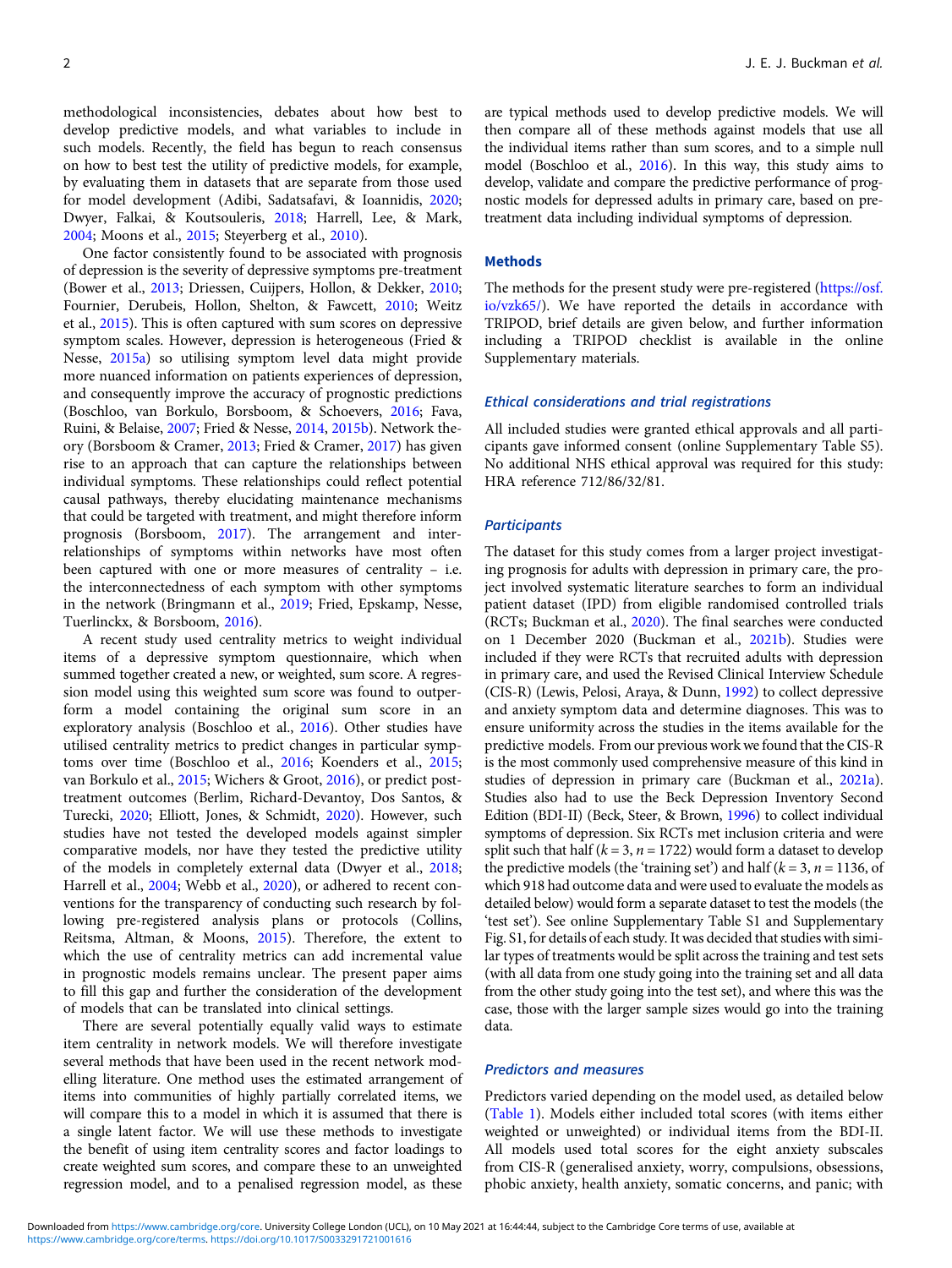methodological inconsistencies, debates about how best to develop predictive models, and what variables to include in such models. Recently, the field has begun to reach consensus on how to best test the utility of predictive models, for example, by evaluating them in datasets that are separate from those used for model development (Adibi, Sadatsafavi, & Ioannidis, [2020](#page-8-0); Dwyer, Falkai, & Koutsouleris, [2018;](#page-9-0) Harrell, Lee, & Mark, [2004;](#page-9-0) Moons et al., [2015;](#page-10-0) Steyerberg et al., [2010\)](#page-10-0).

One factor consistently found to be associated with prognosis of depression is the severity of depressive symptoms pre-treatment (Bower et al., [2013](#page-9-0); Driessen, Cuijpers, Hollon, & Dekker, [2010](#page-9-0); Fournier, Derubeis, Hollon, Shelton, & Fawcett, [2010](#page-9-0); Weitz et al., [2015\)](#page-10-0). This is often captured with sum scores on depressive symptom scales. However, depression is heterogeneous (Fried & Nesse, [2015a](#page-9-0)) so utilising symptom level data might provide more nuanced information on patients experiences of depression, and consequently improve the accuracy of prognostic predictions (Boschloo, van Borkulo, Borsboom, & Schoevers, [2016;](#page-8-0) Fava, Ruini, & Belaise, [2007;](#page-9-0) Fried & Nesse, [2014](#page-9-0), [2015b\)](#page-9-0). Network theory (Borsboom & Cramer, [2013](#page-8-0); Fried & Cramer, [2017](#page-9-0)) has given rise to an approach that can capture the relationships between individual symptoms. These relationships could reflect potential causal pathways, thereby elucidating maintenance mechanisms that could be targeted with treatment, and might therefore inform prognosis (Borsboom, [2017](#page-8-0)). The arrangement and interrelationships of symptoms within networks have most often been captured with one or more measures of centrality – i.e. the interconnectedness of each symptom with other symptoms in the network (Bringmann et al., [2019](#page-9-0); Fried, Epskamp, Nesse, Tuerlinckx, & Borsboom, [2016\)](#page-9-0).

A recent study used centrality metrics to weight individual items of a depressive symptom questionnaire, which when summed together created a new, or weighted, sum score. A regression model using this weighted sum score was found to outperform a model containing the original sum score in an exploratory analysis (Boschloo et al., [2016](#page-8-0)). Other studies have utilised centrality metrics to predict changes in particular symptoms over time (Boschloo et al., [2016](#page-8-0); Koenders et al., [2015](#page-10-0); van Borkulo et al., [2015;](#page-10-0) Wichers & Groot, [2016](#page-10-0)), or predict posttreatment outcomes (Berlim, Richard-Devantoy, Dos Santos, & Turecki, [2020](#page-8-0); Elliott, Jones, & Schmidt, [2020](#page-9-0)). However, such studies have not tested the developed models against simpler comparative models, nor have they tested the predictive utility of the models in completely external data (Dwyer et al., [2018](#page-9-0); Harrell et al., [2004](#page-9-0); Webb et al., [2020\)](#page-10-0), or adhered to recent conventions for the transparency of conducting such research by following pre-registered analysis plans or protocols (Collins, Reitsma, Altman, & Moons, [2015](#page-9-0)). Therefore, the extent to which the use of centrality metrics can add incremental value in prognostic models remains unclear. The present paper aims to fill this gap and further the consideration of the development of models that can be translated into clinical settings.

There are several potentially equally valid ways to estimate item centrality in network models. We will therefore investigate several methods that have been used in the recent network modelling literature. One method uses the estimated arrangement of items into communities of highly partially correlated items, we will compare this to a model in which it is assumed that there is a single latent factor. We will use these methods to investigate the benefit of using item centrality scores and factor loadings to create weighted sum scores, and compare these to an unweighted regression model, and to a penalised regression model, as these

are typical methods used to develop predictive models. We will then compare all of these methods against models that use all the individual items rather than sum scores, and to a simple null model (Boschloo et al., [2016\)](#page-8-0). In this way, this study aims to develop, validate and compare the predictive performance of prognostic models for depressed adults in primary care, based on pretreatment data including individual symptoms of depression.

#### **Methods**

The methods for the present study were pre-registered [\(https://osf.](https://osf.io/vzk65/) [io/vzk65/\)](https://osf.io/vzk65/). We have reported the details in accordance with TRIPOD, brief details are given below, and further information including a TRIPOD checklist is available in the online Supplementary materials.

#### Ethical considerations and trial registrations

All included studies were granted ethical approvals and all participants gave informed consent (online Supplementary Table S5). No additional NHS ethical approval was required for this study: HRA reference 712/86/32/81.

#### **Participants**

The dataset for this study comes from a larger project investigating prognosis for adults with depression in primary care, the project involved systematic literature searches to form an individual patient dataset (IPD) from eligible randomised controlled trials (RCTs; Buckman et al., [2020](#page-9-0)). The final searches were conducted on 1 December 2020 (Buckman et al., [2021b](#page-9-0)). Studies were included if they were RCTs that recruited adults with depression in primary care, and used the Revised Clinical Interview Schedule (CIS-R) (Lewis, Pelosi, Araya, & Dunn, [1992\)](#page-10-0) to collect depressive and anxiety symptom data and determine diagnoses. This was to ensure uniformity across the studies in the items available for the predictive models. From our previous work we found that the CIS-R is the most commonly used comprehensive measure of this kind in studies of depression in primary care (Buckman et al., [2021a](#page-9-0)). Studies also had to use the Beck Depression Inventory Second Edition (BDI-II) (Beck, Steer, & Brown, [1996\)](#page-8-0) to collect individual symptoms of depression. Six RCTs met inclusion criteria and were split such that half ( $k = 3$ ,  $n = 1722$ ) would form a dataset to develop the predictive models (the 'training set') and half ( $k = 3$ ,  $n = 1136$ , of which 918 had outcome data and were used to evaluate the models as detailed below) would form a separate dataset to test the models (the 'test set'). See online Supplementary Table S1 and Supplementary Fig. S1, for details of each study. It was decided that studies with similar types of treatments would be split across the training and test sets (with all data from one study going into the training set and all data from the other study going into the test set), and where this was the case, those with the larger sample sizes would go into the training data.

# Predictors and measures

Predictors varied depending on the model used, as detailed below ([Table 1](#page-2-0)). Models either included total scores (with items either weighted or unweighted) or individual items from the BDI-II. All models used total scores for the eight anxiety subscales from CIS-R (generalised anxiety, worry, compulsions, obsessions, phobic anxiety, health anxiety, somatic concerns, and panic; with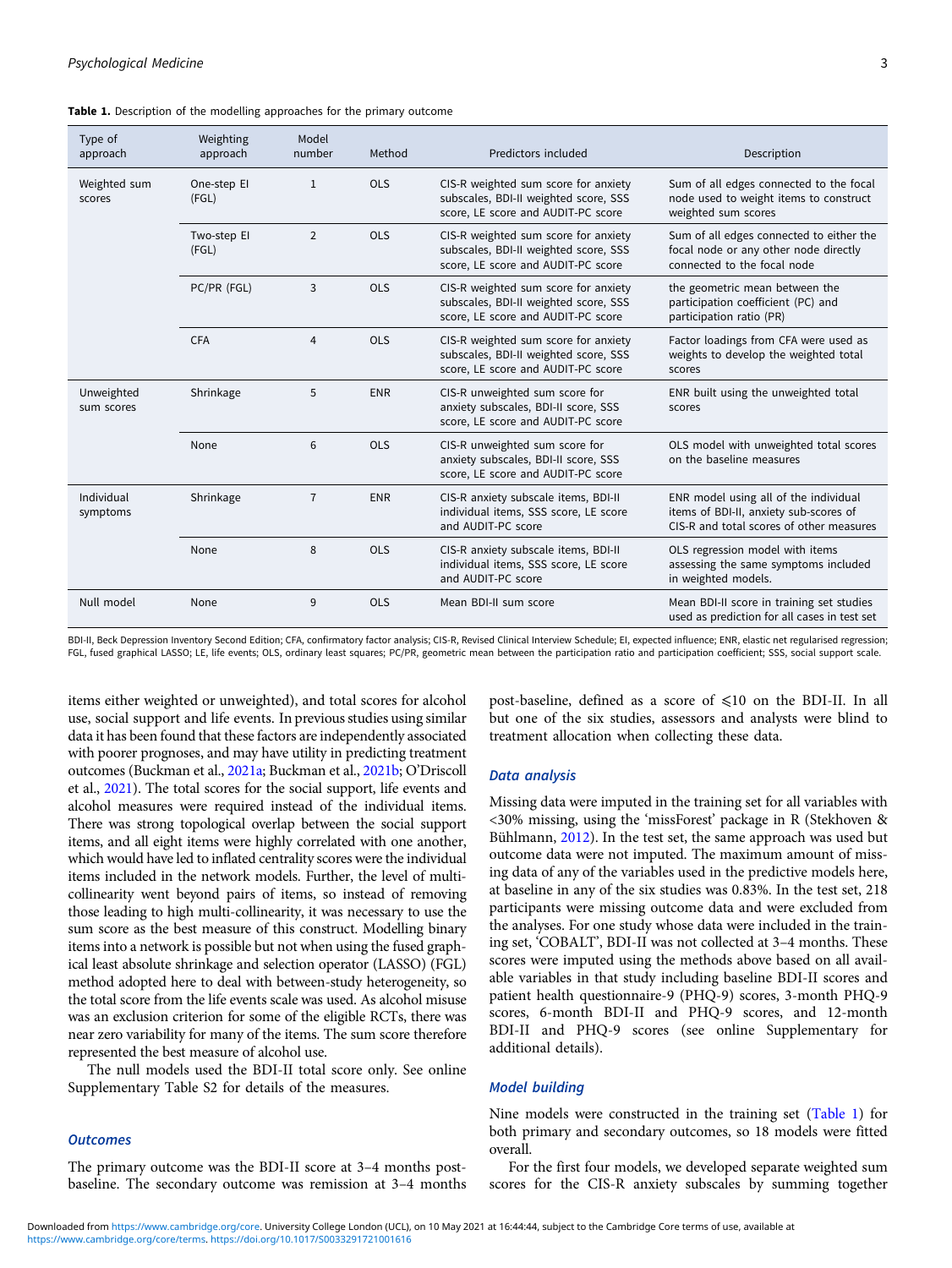<span id="page-2-0"></span>

| Type of<br>approach      | Weighting<br>approach | Model<br>number | Method     | Predictors included                                                                                                 | Description                                                                                                                 |
|--------------------------|-----------------------|-----------------|------------|---------------------------------------------------------------------------------------------------------------------|-----------------------------------------------------------------------------------------------------------------------------|
| Weighted sum<br>scores   | One-step El<br>(FGL)  | 1               | <b>OLS</b> | CIS-R weighted sum score for anxiety<br>subscales, BDI-II weighted score, SSS<br>score, LE score and AUDIT-PC score | Sum of all edges connected to the focal<br>node used to weight items to construct<br>weighted sum scores                    |
|                          | Two-step El<br>(FGL)  | $\overline{2}$  | <b>OLS</b> | CIS-R weighted sum score for anxiety<br>subscales, BDI-II weighted score, SSS<br>score, LE score and AUDIT-PC score | Sum of all edges connected to either the<br>focal node or any other node directly<br>connected to the focal node            |
|                          | PC/PR (FGL)           | 3               | <b>OLS</b> | CIS-R weighted sum score for anxiety<br>subscales, BDI-II weighted score, SSS<br>score, LE score and AUDIT-PC score | the geometric mean between the<br>participation coefficient (PC) and<br>participation ratio (PR)                            |
|                          | <b>CFA</b>            | $\overline{4}$  | <b>OLS</b> | CIS-R weighted sum score for anxiety<br>subscales, BDI-II weighted score, SSS<br>score, LE score and AUDIT-PC score | Factor loadings from CFA were used as<br>weights to develop the weighted total<br>scores                                    |
| Unweighted<br>sum scores | Shrinkage             | 5               | <b>ENR</b> | CIS-R unweighted sum score for<br>anxiety subscales, BDI-II score, SSS<br>score, LE score and AUDIT-PC score        | ENR built using the unweighted total<br>scores                                                                              |
|                          | None                  | 6               | <b>OLS</b> | CIS-R unweighted sum score for<br>anxiety subscales, BDI-II score, SSS<br>score, LE score and AUDIT-PC score        | OLS model with unweighted total scores<br>on the baseline measures                                                          |
| Individual<br>symptoms   | Shrinkage             | $\overline{7}$  | <b>ENR</b> | CIS-R anxiety subscale items, BDI-II<br>individual items, SSS score, LE score<br>and AUDIT-PC score                 | ENR model using all of the individual<br>items of BDI-II, anxiety sub-scores of<br>CIS-R and total scores of other measures |
|                          | None                  | 8               | <b>OLS</b> | CIS-R anxiety subscale items, BDI-II<br>individual items, SSS score, LE score<br>and AUDIT-PC score                 | OLS regression model with items<br>assessing the same symptoms included<br>in weighted models.                              |
| Null model               | None                  | 9               | <b>OLS</b> | Mean BDI-II sum score                                                                                               | Mean BDI-II score in training set studies<br>used as prediction for all cases in test set                                   |

BDI-II, Beck Depression Inventory Second Edition; CFA, confirmatory factor analysis; CIS-R, Revised Clinical Interview Schedule; EI, expected influence; ENR, elastic net regularised regression; FGL, fused graphical LASSO; LE, life events; OLS, ordinary least squares; PC/PR, geometric mean between the participation ratio and participation coefficient; SSS, social support scale.

items either weighted or unweighted), and total scores for alcohol use, social support and life events. In previous studies using similar data it has been found that these factors are independently associated with poorer prognoses, and may have utility in predicting treatment outcomes (Buckman et al., [2021a](#page-9-0); Buckman et al., [2021b;](#page-9-0) O'Driscoll et al., [2021\)](#page-10-0). The total scores for the social support, life events and alcohol measures were required instead of the individual items. There was strong topological overlap between the social support items, and all eight items were highly correlated with one another, which would have led to inflated centrality scores were the individual items included in the network models. Further, the level of multicollinearity went beyond pairs of items, so instead of removing those leading to high multi-collinearity, it was necessary to use the sum score as the best measure of this construct. Modelling binary items into a network is possible but not when using the fused graphical least absolute shrinkage and selection operator (LASSO) (FGL) method adopted here to deal with between-study heterogeneity, so the total score from the life events scale was used. As alcohol misuse was an exclusion criterion for some of the eligible RCTs, there was near zero variability for many of the items. The sum score therefore represented the best measure of alcohol use.

The null models used the BDI-II total score only. See online Supplementary Table S2 for details of the measures.

# **Outcomes**

The primary outcome was the BDI-II score at 3–4 months postbaseline. The secondary outcome was remission at 3–4 months

post-baseline, defined as a score of ≤10 on the BDI-II. In all but one of the six studies, assessors and analysts were blind to treatment allocation when collecting these data.

# Data analysis

Missing data were imputed in the training set for all variables with <30% missing, using the 'missForest' package in R (Stekhoven & Bühlmann, [2012](#page-10-0)). In the test set, the same approach was used but outcome data were not imputed. The maximum amount of missing data of any of the variables used in the predictive models here, at baseline in any of the six studies was 0.83%. In the test set, 218 participants were missing outcome data and were excluded from the analyses. For one study whose data were included in the training set, 'COBALT', BDI-II was not collected at 3–4 months. These scores were imputed using the methods above based on all available variables in that study including baseline BDI-II scores and patient health questionnaire-9 (PHQ-9) scores, 3-month PHQ-9 scores, 6-month BDI-II and PHQ-9 scores, and 12-month BDI-II and PHQ-9 scores (see online Supplementary for additional details).

#### Model building

Nine models were constructed in the training set (Table 1) for both primary and secondary outcomes, so 18 models were fitted overall.

For the first four models, we developed separate weighted sum scores for the CIS-R anxiety subscales by summing together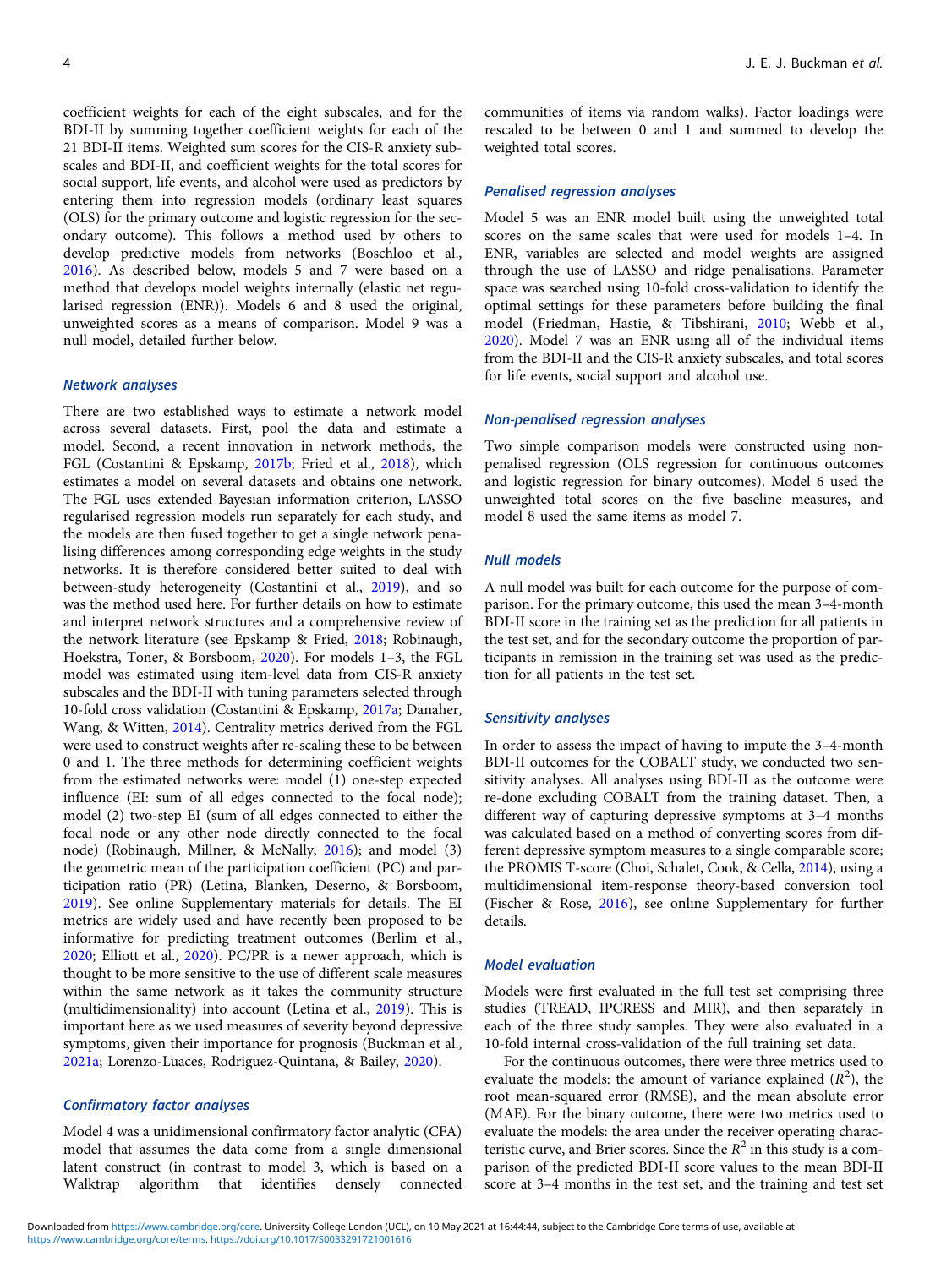coefficient weights for each of the eight subscales, and for the BDI-II by summing together coefficient weights for each of the 21 BDI-II items. Weighted sum scores for the CIS-R anxiety subscales and BDI-II, and coefficient weights for the total scores for social support, life events, and alcohol were used as predictors by entering them into regression models (ordinary least squares (OLS) for the primary outcome and logistic regression for the secondary outcome). This follows a method used by others to develop predictive models from networks (Boschloo et al., [2016\)](#page-8-0). As described below, models 5 and 7 were based on a method that develops model weights internally (elastic net regularised regression (ENR)). Models 6 and 8 used the original, unweighted scores as a means of comparison. Model 9 was a null model, detailed further below.

## Network analyses

There are two established ways to estimate a network model across several datasets. First, pool the data and estimate a model. Second, a recent innovation in network methods, the FGL (Costantini & Epskamp, [2017b](#page-9-0); Fried et al., [2018\)](#page-9-0), which estimates a model on several datasets and obtains one network. The FGL uses extended Bayesian information criterion, LASSO regularised regression models run separately for each study, and the models are then fused together to get a single network penalising differences among corresponding edge weights in the study networks. It is therefore considered better suited to deal with between-study heterogeneity (Costantini et al., [2019\)](#page-9-0), and so was the method used here. For further details on how to estimate and interpret network structures and a comprehensive review of the network literature (see Epskamp & Fried, [2018;](#page-9-0) Robinaugh, Hoekstra, Toner, & Borsboom, [2020](#page-10-0)). For models 1–3, the FGL model was estimated using item-level data from CIS-R anxiety subscales and the BDI-II with tuning parameters selected through 10-fold cross validation (Costantini & Epskamp, [2017a](#page-9-0); Danaher, Wang, & Witten, [2014](#page-9-0)). Centrality metrics derived from the FGL were used to construct weights after re-scaling these to be between 0 and 1. The three methods for determining coefficient weights from the estimated networks were: model (1) one-step expected influence (EI: sum of all edges connected to the focal node); model (2) two-step EI (sum of all edges connected to either the focal node or any other node directly connected to the focal node) (Robinaugh, Millner, & McNally, [2016\)](#page-10-0); and model (3) the geometric mean of the participation coefficient (PC) and participation ratio (PR) (Letina, Blanken, Deserno, & Borsboom, [2019\)](#page-10-0). See online Supplementary materials for details. The EI metrics are widely used and have recently been proposed to be informative for predicting treatment outcomes (Berlim et al., [2020;](#page-8-0) Elliott et al., [2020\)](#page-9-0). PC/PR is a newer approach, which is thought to be more sensitive to the use of different scale measures within the same network as it takes the community structure (multidimensionality) into account (Letina et al., [2019\)](#page-10-0). This is important here as we used measures of severity beyond depressive symptoms, given their importance for prognosis (Buckman et al., [2021a](#page-9-0); Lorenzo-Luaces, Rodriguez-Quintana, & Bailey, [2020](#page-10-0)).

#### Confirmatory factor analyses

Model 4 was a unidimensional confirmatory factor analytic (CFA) model that assumes the data come from a single dimensional latent construct (in contrast to model 3, which is based on a Walktrap algorithm that identifies densely connected communities of items via random walks). Factor loadings were rescaled to be between 0 and 1 and summed to develop the weighted total scores.

# Penalised regression analyses

Model 5 was an ENR model built using the unweighted total scores on the same scales that were used for models 1–4. In ENR, variables are selected and model weights are assigned through the use of LASSO and ridge penalisations. Parameter space was searched using 10-fold cross-validation to identify the optimal settings for these parameters before building the final model (Friedman, Hastie, & Tibshirani, [2010](#page-9-0); Webb et al., [2020\)](#page-10-0). Model 7 was an ENR using all of the individual items from the BDI-II and the CIS-R anxiety subscales, and total scores for life events, social support and alcohol use.

## Non-penalised regression analyses

Two simple comparison models were constructed using nonpenalised regression (OLS regression for continuous outcomes and logistic regression for binary outcomes). Model 6 used the unweighted total scores on the five baseline measures, and model 8 used the same items as model 7.

#### Null models

A null model was built for each outcome for the purpose of comparison. For the primary outcome, this used the mean 3–4-month BDI-II score in the training set as the prediction for all patients in the test set, and for the secondary outcome the proportion of participants in remission in the training set was used as the prediction for all patients in the test set.

#### Sensitivity analyses

In order to assess the impact of having to impute the 3–4-month BDI-II outcomes for the COBALT study, we conducted two sensitivity analyses. All analyses using BDI-II as the outcome were re-done excluding COBALT from the training dataset. Then, a different way of capturing depressive symptoms at 3–4 months was calculated based on a method of converting scores from different depressive symptom measures to a single comparable score; the PROMIS T-score (Choi, Schalet, Cook, & Cella, [2014](#page-9-0)), using a multidimensional item-response theory-based conversion tool (Fischer & Rose, [2016](#page-9-0)), see online Supplementary for further details.

#### Model evaluation

Models were first evaluated in the full test set comprising three studies (TREAD, IPCRESS and MIR), and then separately in each of the three study samples. They were also evaluated in a 10-fold internal cross-validation of the full training set data.

For the continuous outcomes, there were three metrics used to evaluate the models: the amount of variance explained  $(R^2)$ , the root mean-squared error (RMSE), and the mean absolute error (MAE). For the binary outcome, there were two metrics used to evaluate the models: the area under the receiver operating characteristic curve, and Brier scores. Since the  $R^2$  in this study is a comparison of the predicted BDI-II score values to the mean BDI-II score at 3–4 months in the test set, and the training and test set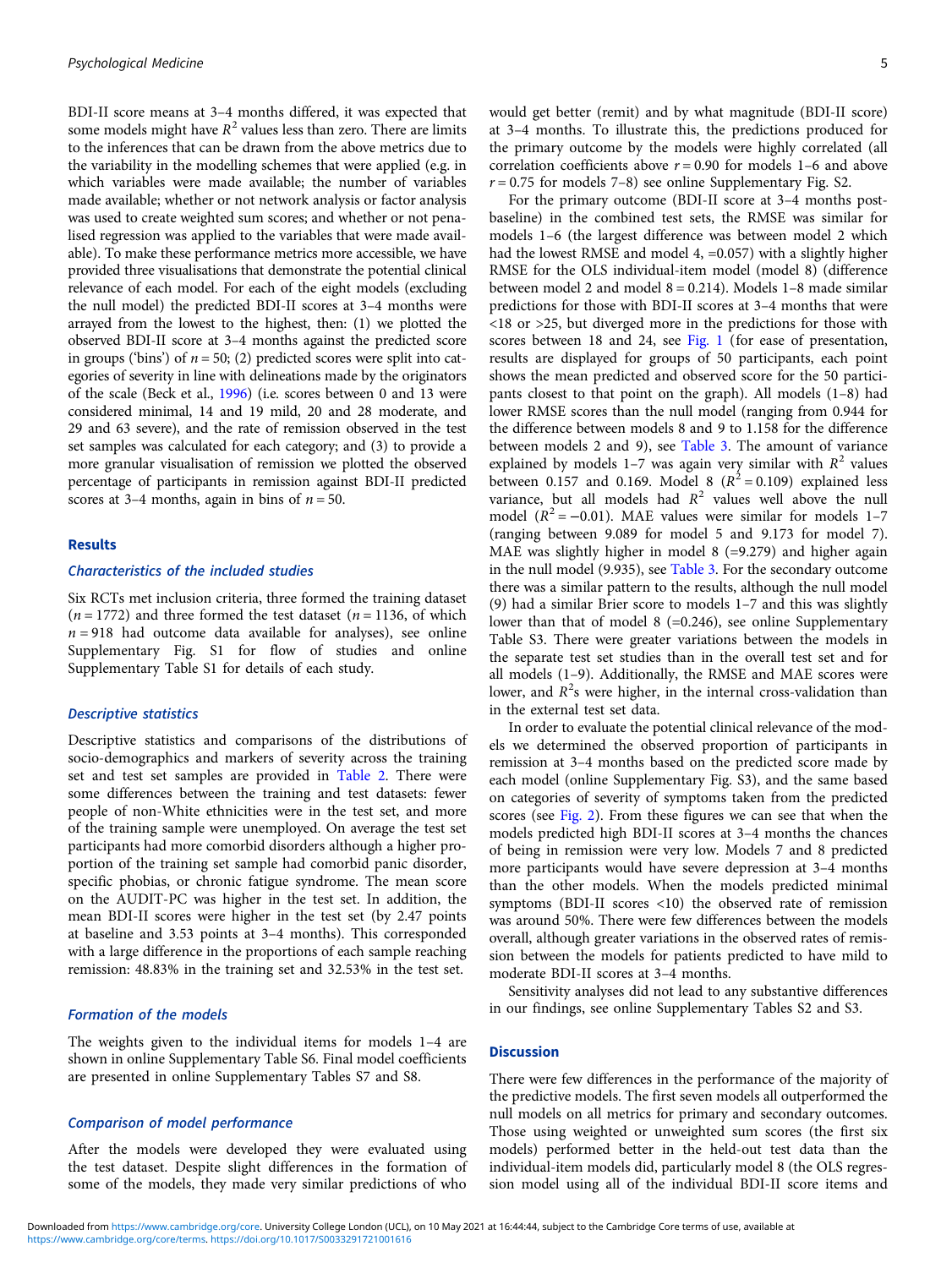BDI-II score means at 3–4 months differed, it was expected that some models might have  $R^2$  values less than zero. There are limits to the inferences that can be drawn from the above metrics due to the variability in the modelling schemes that were applied (e.g. in which variables were made available; the number of variables made available; whether or not network analysis or factor analysis was used to create weighted sum scores; and whether or not penalised regression was applied to the variables that were made available). To make these performance metrics more accessible, we have provided three visualisations that demonstrate the potential clinical relevance of each model. For each of the eight models (excluding the null model) the predicted BDI-II scores at 3–4 months were arrayed from the lowest to the highest, then: (1) we plotted the observed BDI-II score at 3–4 months against the predicted score in groups ('bins') of  $n = 50$ ; (2) predicted scores were split into categories of severity in line with delineations made by the originators of the scale (Beck et al., [1996\)](#page-8-0) (i.e. scores between 0 and 13 were considered minimal, 14 and 19 mild, 20 and 28 moderate, and 29 and 63 severe), and the rate of remission observed in the test set samples was calculated for each category; and (3) to provide a more granular visualisation of remission we plotted the observed percentage of participants in remission against BDI-II predicted scores at 3–4 months, again in bins of  $n = 50$ .

#### Results

# Characteristics of the included studies

Six RCTs met inclusion criteria, three formed the training dataset  $(n = 1772)$  and three formed the test dataset  $(n = 1136, \text{ of which})$  $n = 918$  had outcome data available for analyses), see online Supplementary Fig. S1 for flow of studies and online Supplementary Table S1 for details of each study.

#### Descriptive statistics

Descriptive statistics and comparisons of the distributions of socio-demographics and markers of severity across the training set and test set samples are provided in [Table 2](#page-5-0). There were some differences between the training and test datasets: fewer people of non-White ethnicities were in the test set, and more of the training sample were unemployed. On average the test set participants had more comorbid disorders although a higher proportion of the training set sample had comorbid panic disorder, specific phobias, or chronic fatigue syndrome. The mean score on the AUDIT-PC was higher in the test set. In addition, the mean BDI-II scores were higher in the test set (by 2.47 points at baseline and 3.53 points at 3–4 months). This corresponded with a large difference in the proportions of each sample reaching remission: 48.83% in the training set and 32.53% in the test set.

#### Formation of the models

The weights given to the individual items for models 1–4 are shown in online Supplementary Table S6. Final model coefficients are presented in online Supplementary Tables S7 and S8.

#### Comparison of model performance

After the models were developed they were evaluated using the test dataset. Despite slight differences in the formation of some of the models, they made very similar predictions of who would get better (remit) and by what magnitude (BDI-II score) at 3–4 months. To illustrate this, the predictions produced for the primary outcome by the models were highly correlated (all correlation coefficients above  $r = 0.90$  for models 1–6 and above  $r = 0.75$  for models 7–8) see online Supplementary Fig. S2.

For the primary outcome (BDI-II score at 3–4 months postbaseline) in the combined test sets, the RMSE was similar for models 1–6 (the largest difference was between model 2 which had the lowest RMSE and model 4, =0.057) with a slightly higher RMSE for the OLS individual-item model (model 8) (difference between model 2 and model  $8 = 0.214$ ). Models 1–8 made similar predictions for those with BDI-II scores at 3–4 months that were <18 or >25, but diverged more in the predictions for those with scores between 18 and 24, see [Fig. 1](#page-6-0) (for ease of presentation, results are displayed for groups of 50 participants, each point shows the mean predicted and observed score for the 50 participants closest to that point on the graph). All models (1–8) had lower RMSE scores than the null model (ranging from 0.944 for the difference between models 8 and 9 to 1.158 for the difference between models 2 and 9), see [Table 3](#page-7-0). The amount of variance explained by models 1–7 was again very similar with  $R^2$  values between 0.157 and 0.169. Model 8  $(R^2 = 0.109)$  explained less variance, but all models had  $R^2$  values well above the null model  $(R^2 = -0.01)$ . MAE values were similar for models 1–7 (ranging between 9.089 for model 5 and 9.173 for model 7). MAE was slightly higher in model 8 (=9.279) and higher again in the null model (9.935), see [Table 3.](#page-7-0) For the secondary outcome there was a similar pattern to the results, although the null model (9) had a similar Brier score to models 1–7 and this was slightly lower than that of model 8 (=0.246), see online Supplementary Table S3. There were greater variations between the models in the separate test set studies than in the overall test set and for all models (1–9). Additionally, the RMSE and MAE scores were lower, and  $R^2$ s were higher, in the internal cross-validation than in the external test set data.

In order to evaluate the potential clinical relevance of the models we determined the observed proportion of participants in remission at 3–4 months based on the predicted score made by each model (online Supplementary Fig. S3), and the same based on categories of severity of symptoms taken from the predicted scores (see [Fig. 2](#page-8-0)). From these figures we can see that when the models predicted high BDI-II scores at 3–4 months the chances of being in remission were very low. Models 7 and 8 predicted more participants would have severe depression at 3–4 months than the other models. When the models predicted minimal symptoms (BDI-II scores <10) the observed rate of remission was around 50%. There were few differences between the models overall, although greater variations in the observed rates of remission between the models for patients predicted to have mild to moderate BDI-II scores at 3–4 months.

Sensitivity analyses did not lead to any substantive differences in our findings, see online Supplementary Tables S2 and S3.

#### **Discussion**

There were few differences in the performance of the majority of the predictive models. The first seven models all outperformed the null models on all metrics for primary and secondary outcomes. Those using weighted or unweighted sum scores (the first six models) performed better in the held-out test data than the individual-item models did, particularly model 8 (the OLS regression model using all of the individual BDI-II score items and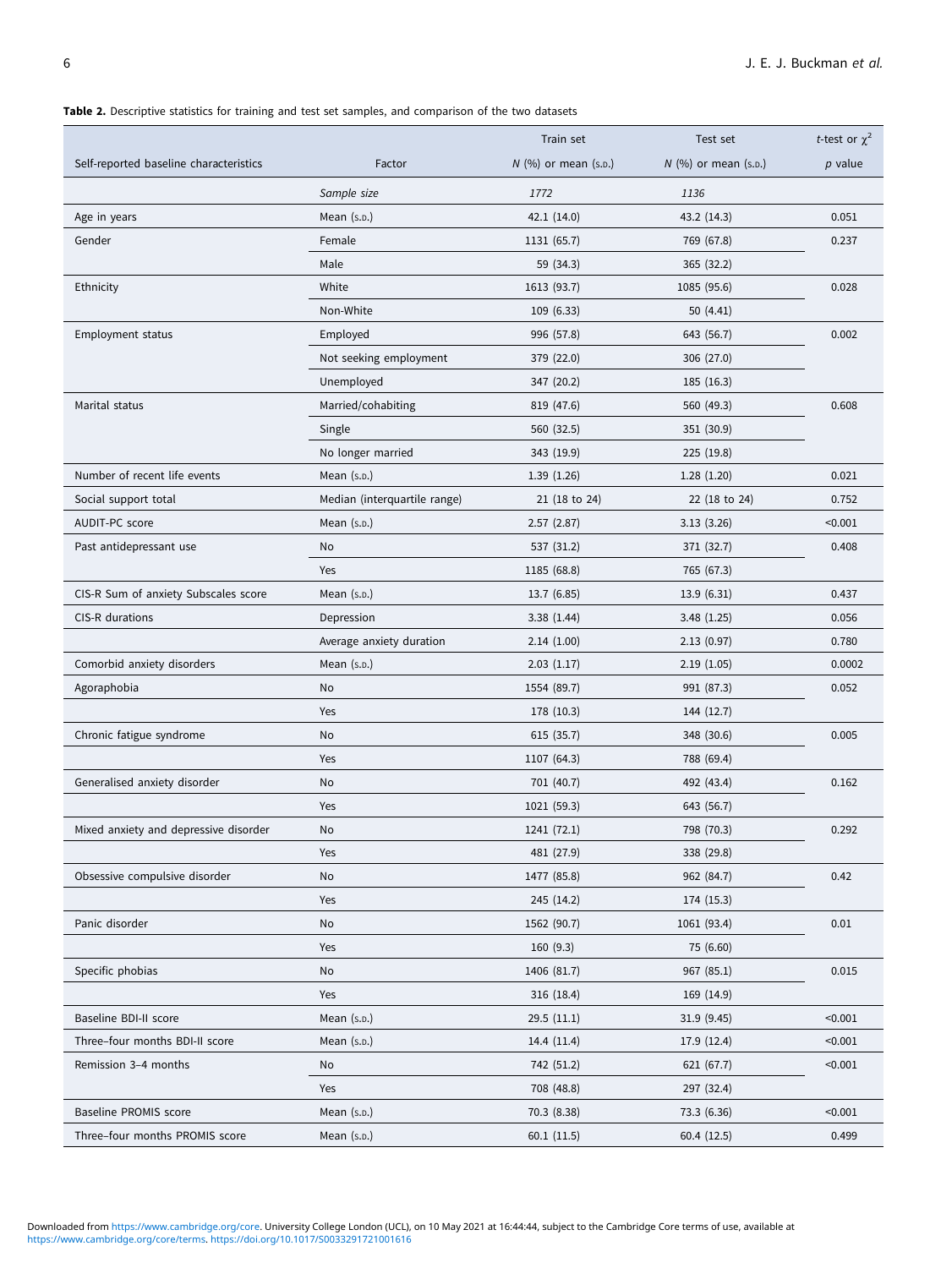# <span id="page-5-0"></span>Table 2. Descriptive statistics for training and test set samples, and comparison of the two datasets

|                                        |                              | Train set              | Test set               | <i>t</i> -test or $\chi^2$ |
|----------------------------------------|------------------------------|------------------------|------------------------|----------------------------|
| Self-reported baseline characteristics | Factor                       | $N$ (%) or mean (s.p.) | $N$ (%) or mean (s.p.) | $p$ value                  |
|                                        | Sample size                  | 1772                   | 1136                   |                            |
| Age in years                           | Mean (s.p.)                  | 42.1 (14.0)            | 43.2 (14.3)            | 0.051                      |
| Gender                                 | Female                       | 1131 (65.7)            | 769 (67.8)             | 0.237                      |
|                                        | Male                         | 59 (34.3)              | 365 (32.2)             |                            |
| Ethnicity                              | White                        | 1613 (93.7)            | 1085 (95.6)            | 0.028                      |
|                                        | Non-White                    | 109(6.33)              | 50 (4.41)              |                            |
| <b>Employment status</b>               | Employed                     | 996 (57.8)             | 643 (56.7)             | 0.002                      |
|                                        | Not seeking employment       | 379 (22.0)             | 306 (27.0)             |                            |
|                                        | Unemployed                   | 347 (20.2)             | 185 (16.3)             |                            |
| Marital status                         | Married/cohabiting           | 819 (47.6)             | 560 (49.3)             | 0.608                      |
|                                        | Single                       | 560 (32.5)             | 351 (30.9)             |                            |
|                                        | No longer married            | 343 (19.9)             | 225 (19.8)             |                            |
| Number of recent life events           | Mean (s.p.)                  | 1.39(1.26)             | 1.28(1.20)             | 0.021                      |
| Social support total                   | Median (interquartile range) | 21 (18 to 24)          | 22 (18 to 24)          | 0.752                      |
| AUDIT-PC score                         | Mean (s.p.)                  | 2.57(2.87)             | 3.13(3.26)             | < 0.001                    |
| Past antidepressant use                | No                           | 537 (31.2)             | 371 (32.7)             | 0.408                      |
|                                        | Yes                          | 1185 (68.8)            | 765 (67.3)             |                            |
| CIS-R Sum of anxiety Subscales score   | Mean $(s.p.)$                | 13.7 (6.85)            | 13.9(6.31)             | 0.437                      |
| CIS-R durations                        | Depression                   | 3.38(1.44)             | 3.48(1.25)             | 0.056                      |
|                                        | Average anxiety duration     | 2.14(1.00)             | 2.13(0.97)             | 0.780                      |
| Comorbid anxiety disorders             | Mean (s.p.)                  | 2.03(1.17)             | 2.19(1.05)             | 0.0002                     |
| Agoraphobia                            | No                           | 1554 (89.7)            | 991 (87.3)             | 0.052                      |
|                                        | Yes                          | 178 (10.3)             | 144 (12.7)             |                            |
| Chronic fatigue syndrome               | No                           | 615 (35.7)             | 348 (30.6)             | 0.005                      |
|                                        | Yes                          | 1107 (64.3)            | 788 (69.4)             |                            |
| Generalised anxiety disorder           | No                           | 701 (40.7)             | 492 (43.4)             | 0.162                      |
|                                        | Yes                          | 1021 (59.3)            | 643 (56.7)             |                            |
| Mixed anxiety and depressive disorder  | No                           | 1241 (72.1)            | 798 (70.3)             | 0.292                      |
|                                        | Yes                          | 481 (27.9)             | 338 (29.8)             |                            |
| Obsessive compulsive disorder          | No                           | 1477 (85.8)            | 962 (84.7)             | 0.42                       |
|                                        | Yes                          | 245 (14.2)             | 174 (15.3)             |                            |
| Panic disorder                         | No                           | 1562 (90.7)            | 1061 (93.4)            | 0.01                       |
|                                        | Yes                          | 160(9.3)               | 75 (6.60)              |                            |
| Specific phobias                       | No                           | 1406 (81.7)            | 967 (85.1)             | 0.015                      |
|                                        | Yes                          | 316(18.4)              | 169 (14.9)             |                            |
| Baseline BDI-II score                  | Mean $(s.p.)$                | 29.5(11.1)             | 31.9 (9.45)            | < 0.001                    |
| Three-four months BDI-II score         | Mean (s.p.)                  | 14.4 (11.4)            | 17.9 (12.4)            | < 0.001                    |
| Remission 3-4 months                   | No                           | 742 (51.2)             | 621 (67.7)             | < 0.001                    |
|                                        | Yes                          | 708 (48.8)             | 297 (32.4)             |                            |
| Baseline PROMIS score                  | Mean $(s.p.)$                | 70.3 (8.38)            | 73.3 (6.36)            | < 0.001                    |
| Three-four months PROMIS score         | Mean $(s.p.)$                | 60.1(11.5)             | 60.4 (12.5)            | 0.499                      |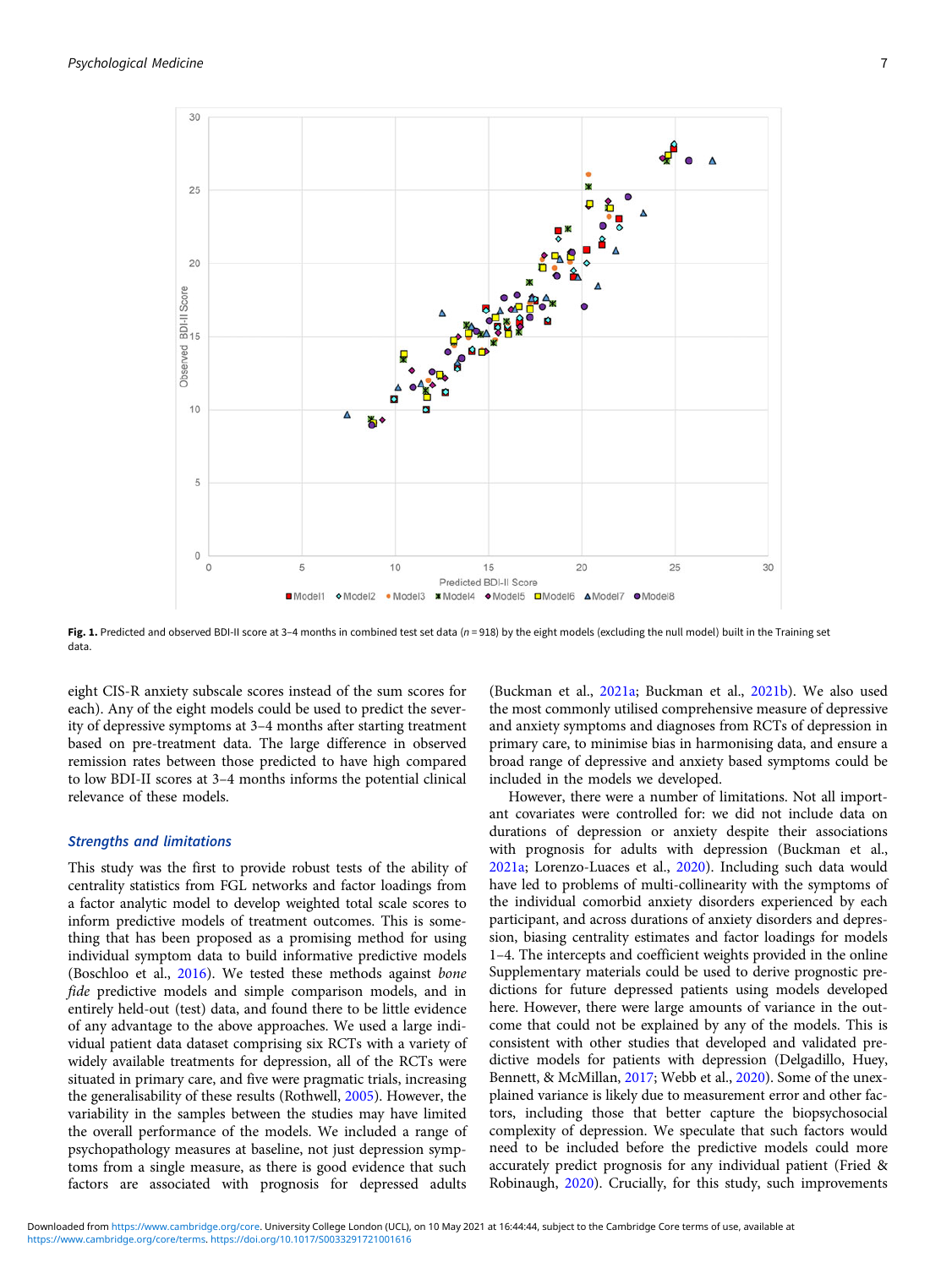<span id="page-6-0"></span>

Fig. 1. Predicted and observed BDI-II score at 3-4 months in combined test set data ( $n = 918$ ) by the eight models (excluding the null model) built in the Training set data.

eight CIS-R anxiety subscale scores instead of the sum scores for each). Any of the eight models could be used to predict the severity of depressive symptoms at 3–4 months after starting treatment based on pre-treatment data. The large difference in observed remission rates between those predicted to have high compared to low BDI-II scores at 3–4 months informs the potential clinical relevance of these models.

#### Strengths and limitations

This study was the first to provide robust tests of the ability of centrality statistics from FGL networks and factor loadings from a factor analytic model to develop weighted total scale scores to inform predictive models of treatment outcomes. This is something that has been proposed as a promising method for using individual symptom data to build informative predictive models (Boschloo et al., [2016](#page-8-0)). We tested these methods against bone fide predictive models and simple comparison models, and in entirely held-out (test) data, and found there to be little evidence of any advantage to the above approaches. We used a large individual patient data dataset comprising six RCTs with a variety of widely available treatments for depression, all of the RCTs were situated in primary care, and five were pragmatic trials, increasing the generalisability of these results (Rothwell, [2005](#page-10-0)). However, the variability in the samples between the studies may have limited the overall performance of the models. We included a range of psychopathology measures at baseline, not just depression symptoms from a single measure, as there is good evidence that such factors are associated with prognosis for depressed adults

(Buckman et al., [2021a;](#page-9-0) Buckman et al., [2021b\)](#page-9-0). We also used the most commonly utilised comprehensive measure of depressive and anxiety symptoms and diagnoses from RCTs of depression in primary care, to minimise bias in harmonising data, and ensure a broad range of depressive and anxiety based symptoms could be included in the models we developed.

However, there were a number of limitations. Not all important covariates were controlled for: we did not include data on durations of depression or anxiety despite their associations with prognosis for adults with depression (Buckman et al., [2021a;](#page-9-0) Lorenzo-Luaces et al., [2020\)](#page-10-0). Including such data would have led to problems of multi-collinearity with the symptoms of the individual comorbid anxiety disorders experienced by each participant, and across durations of anxiety disorders and depression, biasing centrality estimates and factor loadings for models 1–4. The intercepts and coefficient weights provided in the online Supplementary materials could be used to derive prognostic predictions for future depressed patients using models developed here. However, there were large amounts of variance in the outcome that could not be explained by any of the models. This is consistent with other studies that developed and validated predictive models for patients with depression (Delgadillo, Huey, Bennett, & McMillan, [2017](#page-9-0); Webb et al., [2020\)](#page-10-0). Some of the unexplained variance is likely due to measurement error and other factors, including those that better capture the biopsychosocial complexity of depression. We speculate that such factors would need to be included before the predictive models could more accurately predict prognosis for any individual patient (Fried & Robinaugh, [2020\)](#page-9-0). Crucially, for this study, such improvements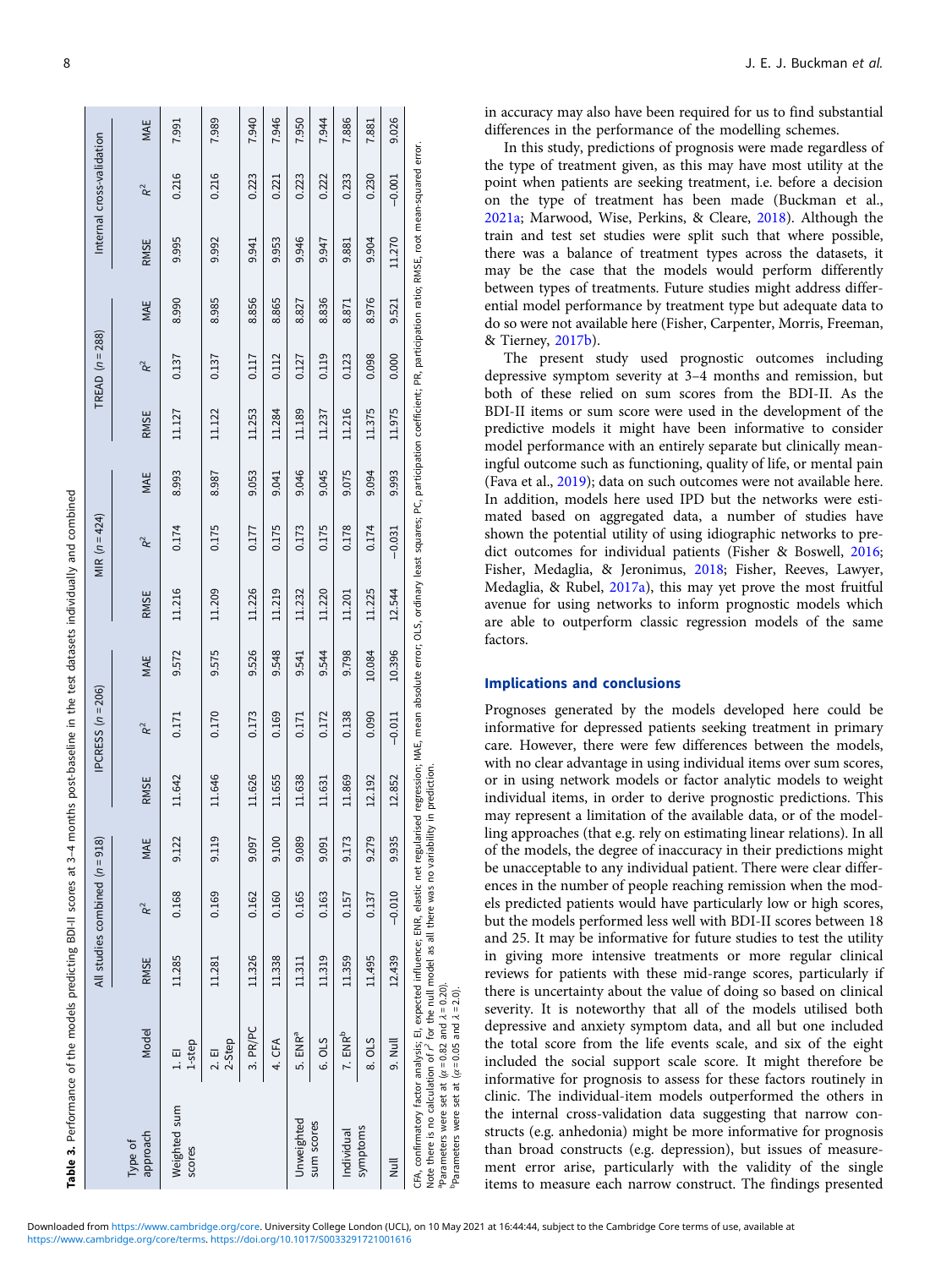<span id="page-7-0"></span>

|                                                                                                                                                                                                                                                                                                                                                                                                                                                                                |                     |             | All studies combined $(n = 918)$ |       |             | IPCRESS $(n = 206)$ |        |        | MIR $(n = 424)$ |       |             | TREAD $(n = 288)$ |       |        | Internal cross-validation |       |
|--------------------------------------------------------------------------------------------------------------------------------------------------------------------------------------------------------------------------------------------------------------------------------------------------------------------------------------------------------------------------------------------------------------------------------------------------------------------------------|---------------------|-------------|----------------------------------|-------|-------------|---------------------|--------|--------|-----------------|-------|-------------|-------------------|-------|--------|---------------------------|-------|
| approach<br>Type of                                                                                                                                                                                                                                                                                                                                                                                                                                                            | Model               | <b>RMSE</b> | $R^2$                            | MAE   | <b>RMSE</b> | R <sup>2</sup>      | MAE    | RMSE   | R <sup>2</sup>  | MAE   | <b>RMSE</b> | $R^2$             | MAE   | RMSE   | R <sup>2</sup>            | MAE   |
| Weighted sum<br>scores                                                                                                                                                                                                                                                                                                                                                                                                                                                         | 1-step<br>1. E      | 11.285      | 0.168                            | 9.122 | 11.642      | 0.171               | 9.572  | 11.216 | 0.174           | 8.993 | 11.127      | 0.137             | 8.990 | 9.995  | 0.216                     | 7.991 |
|                                                                                                                                                                                                                                                                                                                                                                                                                                                                                | 2-Step<br>2. E1     | 11.281      | 0.169                            | 9.119 | 11.646      | 0.170               | 9.575  | 11.209 | 0.175           | 8.987 | 11.122      | 0.137             | 8.985 | 9.992  | 0.216                     | 7.989 |
|                                                                                                                                                                                                                                                                                                                                                                                                                                                                                | 3. PR/PC            | 11.326      | 0.162                            | 9.097 | 11.626      | 0.173               | 9.526  | 11.226 | 0.177           | 9.053 | 11.253      | 0.117             | 8.856 | 9.941  | 0.223                     | 7.940 |
|                                                                                                                                                                                                                                                                                                                                                                                                                                                                                | 4. CFA              | 11.338      | 0.160                            | 9.100 | 11.655      | 0.169               | 9.548  | 11.219 | 0.175           | 9.041 | 11.284      | 0.112             | 8.865 | 9.953  | 0.221                     | 7.946 |
| Unweighted                                                                                                                                                                                                                                                                                                                                                                                                                                                                     | 5. ENR <sup>a</sup> | 11.311      | 0.165                            | 9.089 | 11.638      | 0.171               | 9.541  | 11.232 | 0.173           | 9.046 | 11.189      | 0.127             | 8.827 | 9.946  | 0.223                     | 7.950 |
| sum scores                                                                                                                                                                                                                                                                                                                                                                                                                                                                     | 6. OLS              | 11.319      | 0.163                            | 9.091 | 11.631      | 0.172               | 9.544  | 11.220 | 0.175           | 9.045 | 11.237      | 0.119             | 8.836 | 9.947  | 0.222                     | 7.944 |
| Individual                                                                                                                                                                                                                                                                                                                                                                                                                                                                     | 7. ENR <sup>b</sup> | 11.359      | 0.157                            | 9.173 | 11.869      | 0.138               | 9.798  | 11.201 | 0.178           | 9.075 | 11.216      | 0.123             | 8.871 | 9.881  | 0.233                     | 7.886 |
| symptoms                                                                                                                                                                                                                                                                                                                                                                                                                                                                       | 8. OLS              | 11.495      | 0.137                            | 9.279 | 12.192      | 0.090               | 10.084 | 11.225 | 0.174           | 9.094 | 11.375      | 0.098             | 8.976 | 9.904  | 0.230                     | 7.881 |
| Tuil                                                                                                                                                                                                                                                                                                                                                                                                                                                                           | 9. Null             | 12.439      | $-0.010$                         | 9.935 | 12.852      | $-0.011$            | 10.396 | 12.544 | $-0.031$        | 9.993 | 11.975      | 0.000             | 9.521 | 11.270 | $-0.001$                  | 9.026 |
| CFA, confirmatory factor analysis; EI, expected influence; ENR, elastic net regularised regression; MAE, mean absolute error; OLS, ordinary least squares; PC, participation coefficient; PR, participation ratio; RNNSE, root<br>Note there is no calculation of $r^2$ for the null model as all there was no variability in prediction.<br>Parameters were set at $(\alpha = 0.82$ and $\lambda = 0.20)$ .<br>Parameters were set at $(\alpha = 0.05$ and $\lambda = 2.0)$ . |                     |             |                                  |       |             |                     |        |        |                 |       |             |                   |       |        |                           |       |

in accuracy may also have been required for us to find substantial differences in the performance of the modelling schemes.

In this study, predictions of prognosis were made regardless of the type of treatment given, as this may have most utility at the point when patients are seeking treatment, i.e. before a decision on the type of treatment has been made (Buckman et al., [2021a;](#page-9-0) Marwood, Wise, Perkins, & Cleare, [2018\)](#page-10-0). Although the train and test set studies were split such that where possible, there was a balance of treatment types across the datasets, it may be the case that the models would perform differently between types of treatments. Future studies might address differential model performance by treatment type but adequate data to do so were not available here (Fisher, Carpenter, Morris, Freeman, & Tierney, [2017b](#page-9-0)).

The present study used prognostic outcomes including depressive symptom severity at 3–4 months and remission, but both of these relied on sum scores from the BDI-II. As the BDI-II items or sum score were used in the development of the predictive models it might have been informative to consider model performance with an entirely separate but clinically meaningful outcome such as functioning, quality of life, or mental pain (Fava et al., [2019\)](#page-9-0); data on such outcomes were not available here. In addition, models here used IPD but the networks were estimated based on aggregated data, a number of studies have shown the potential utility of using idiographic networks to predict outcomes for individual patients (Fisher & Boswell, [2016;](#page-9-0) Fisher, Medaglia, & Jeronimus, [2018;](#page-9-0) Fisher, Reeves, Lawyer, Medaglia, & Rubel, [2017a\)](#page-9-0), this may yet prove the most fruitful avenue for using networks to inform prognostic models which are able to outperform classic regression models of the same factors.

# Implications and conclusions

Prognoses generated by the models developed here could be informative for depressed patients seeking treatment in primary care. However, there were few differences between the models, with no clear advantage in using individual items over sum scores, or in using network models or factor analytic models to weight individual items, in order to derive prognostic predictions. This may represent a limitation of the available data, or of the modelling approaches (that e.g. rely on estimating linear relations). In all of the models, the degree of inaccuracy in their predictions might be unacceptable to any individual patient. There were clear differences in the number of people reaching remission when the models predicted patients would have particularly low or high scores, but the models performed less well with BDI-II scores between 18 and 25. It may be informative for future studies to test the utility in giving more intensive treatments or more regular clinical reviews for patients with these mid-range scores, particularly if there is uncertainty about the value of doing so based on clinical severity. It is noteworthy that all of the models utilised both depressive and anxiety symptom data, and all but one included the total score from the life events scale, and six of the eight included the social support scale score. It might therefore be informative for prognosis to assess for these factors routinely in clinic. The individual-item models outperformed the others in the internal cross-validation data suggesting that narrow constructs (e.g. anhedonia) might be more informative for prognosis than broad constructs (e.g. depression), but issues of measurement error arise, particularly with the validity of the single items to measure each narrow construct. The findings presented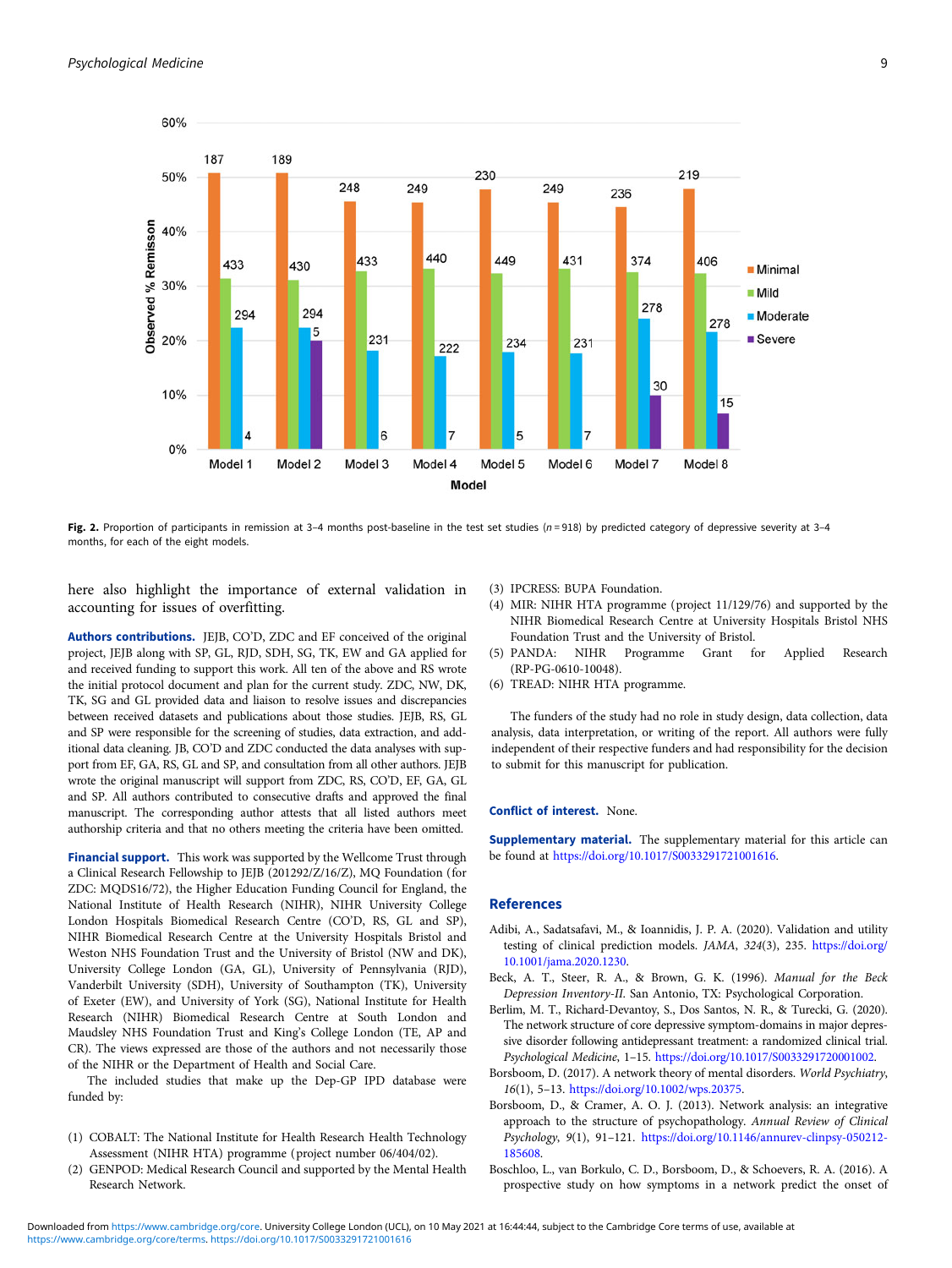<span id="page-8-0"></span>

Fig. 2. Proportion of participants in remission at 3-4 months post-baseline in the test set studies  $(n=918)$  by predicted category of depressive severity at 3-4 months, for each of the eight models.

here also highlight the importance of external validation in accounting for issues of overfitting.

Authors contributions. JEJB, CO'D, ZDC and EF conceived of the original project, JEJB along with SP, GL, RJD, SDH, SG, TK, EW and GA applied for and received funding to support this work. All ten of the above and RS wrote the initial protocol document and plan for the current study. ZDC, NW, DK, TK, SG and GL provided data and liaison to resolve issues and discrepancies between received datasets and publications about those studies. JEJB, RS, GL and SP were responsible for the screening of studies, data extraction, and additional data cleaning. JB, CO'D and ZDC conducted the data analyses with support from EF, GA, RS, GL and SP, and consultation from all other authors. JEJB wrote the original manuscript will support from ZDC, RS, CO'D, EF, GA, GL and SP. All authors contributed to consecutive drafts and approved the final manuscript. The corresponding author attests that all listed authors meet authorship criteria and that no others meeting the criteria have been omitted.

Financial support. This work was supported by the Wellcome Trust through a Clinical Research Fellowship to JEJB (201292/Z/16/Z), MQ Foundation (for ZDC: MQDS16/72), the Higher Education Funding Council for England, the National Institute of Health Research (NIHR), NIHR University College London Hospitals Biomedical Research Centre (CO'D, RS, GL and SP), NIHR Biomedical Research Centre at the University Hospitals Bristol and Weston NHS Foundation Trust and the University of Bristol (NW and DK), University College London (GA, GL), University of Pennsylvania (RJD), Vanderbilt University (SDH), University of Southampton (TK), University of Exeter (EW), and University of York (SG), National Institute for Health Research (NIHR) Biomedical Research Centre at South London and Maudsley NHS Foundation Trust and King's College London (TE, AP and CR). The views expressed are those of the authors and not necessarily those of the NIHR or the Department of Health and Social Care.

The included studies that make up the Dep-GP IPD database were funded by:

- (1) COBALT: The National Institute for Health Research Health Technology Assessment (NIHR HTA) programme (project number 06/404/02).
- (2) GENPOD: Medical Research Council and supported by the Mental Health Research Network.
- (3) IPCRESS: BUPA Foundation.
- (4) MIR: NIHR HTA programme (project 11/129/76) and supported by the NIHR Biomedical Research Centre at University Hospitals Bristol NHS Foundation Trust and the University of Bristol.
- (5) PANDA: NIHR Programme Grant for Applied Research (RP-PG-0610-10048).
- (6) TREAD: NIHR HTA programme.

The funders of the study had no role in study design, data collection, data analysis, data interpretation, or writing of the report. All authors were fully independent of their respective funders and had responsibility for the decision to submit for this manuscript for publication.

#### Conflict of interest. None.

Supplementary material. The supplementary material for this article can be found at [https://doi.org/10.1017/S0033291721001616.](https://doi.org/10.1017/S0033291721001616)

#### References

- Adibi, A., Sadatsafavi, M., & Ioannidis, J. P. A. (2020). Validation and utility testing of clinical prediction models. JAMA, 324(3), 235. [https://doi.org/](https://doi.org/10.1001/jama.2020.1230) [10.1001/jama.2020.1230.](https://doi.org/10.1001/jama.2020.1230)
- Beck, A. T., Steer, R. A., & Brown, G. K. (1996). Manual for the Beck Depression Inventory-II. San Antonio, TX: Psychological Corporation.
- Berlim, M. T., Richard-Devantoy, S., Dos Santos, N. R., & Turecki, G. (2020). The network structure of core depressive symptom-domains in major depressive disorder following antidepressant treatment: a randomized clinical trial. Psychological Medicine, 1–15. [https://doi.org/10.1017/S0033291720001002.](https://doi.org/10.1017/S0033291720001002)
- Borsboom, D. (2017). A network theory of mental disorders. World Psychiatry, 16(1), 5–13. <https://doi.org/10.1002/wps.20375>.
- Borsboom, D., & Cramer, A. O. J. (2013). Network analysis: an integrative approach to the structure of psychopathology. Annual Review of Clinical Psychology, 9(1), 91–121. [https://doi.org/10.1146/annurev-clinpsy-050212-](https://doi.org/10.1146/annurev-clinpsy-050212-185608) [185608](https://doi.org/10.1146/annurev-clinpsy-050212-185608).
- Boschloo, L., van Borkulo, C. D., Borsboom, D., & Schoevers, R. A. (2016). A prospective study on how symptoms in a network predict the onset of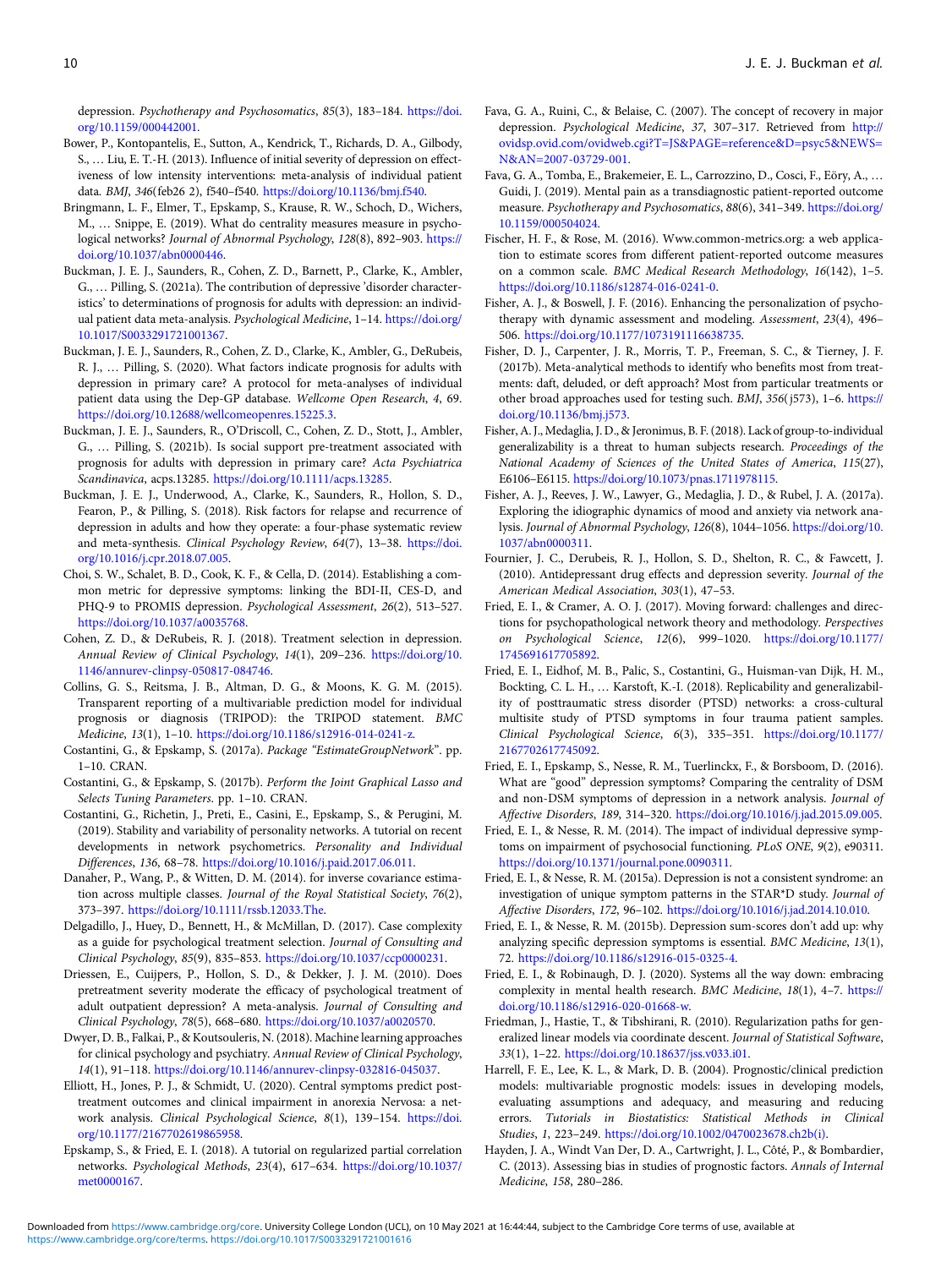<span id="page-9-0"></span>depression. Psychotherapy and Psychosomatics, 85(3), 183–184. [https://doi.](https://doi.org/10.1159/000442001) [org/10.1159/000442001](https://doi.org/10.1159/000442001).

- Bower, P., Kontopantelis, E., Sutton, A., Kendrick, T., Richards, D. A., Gilbody, S., … Liu, E. T.-H. (2013). Influence of initial severity of depression on effectiveness of low intensity interventions: meta-analysis of individual patient data. BMJ, 346(feb26 2), f540–f540. <https://doi.org/10.1136/bmj.f540>.
- Bringmann, L. F., Elmer, T., Epskamp, S., Krause, R. W., Schoch, D., Wichers, M., … Snippe, E. (2019). What do centrality measures measure in psychological networks? Journal of Abnormal Psychology, 128(8), 892–903. [https://](https://doi.org/10.1037/abn0000446) [doi.org/10.1037/abn0000446.](https://doi.org/10.1037/abn0000446)
- Buckman, J. E. J., Saunders, R., Cohen, Z. D., Barnett, P., Clarke, K., Ambler, G., … Pilling, S. (2021a). The contribution of depressive 'disorder characteristics' to determinations of prognosis for adults with depression: an individual patient data meta-analysis. Psychological Medicine, 1-14. [https://doi.org/](https://doi.org/10.1017/S0033291721001367) [10.1017/S0033291721001367.](https://doi.org/10.1017/S0033291721001367)
- Buckman, J. E. J., Saunders, R., Cohen, Z. D., Clarke, K., Ambler, G., DeRubeis, R. J., … Pilling, S. (2020). What factors indicate prognosis for adults with depression in primary care? A protocol for meta-analyses of individual patient data using the Dep-GP database. Wellcome Open Research, 4, 69. [https://doi.org/10.12688/wellcomeopenres.15225.3.](https://doi.org/10.12688/wellcomeopenres.15225.3)
- Buckman, J. E. J., Saunders, R., O'Driscoll, C., Cohen, Z. D., Stott, J., Ambler, G., … Pilling, S. (2021b). Is social support pre-treatment associated with prognosis for adults with depression in primary care? Acta Psychiatrica Scandinavica, acps.13285. <https://doi.org/10.1111/acps.13285>.
- Buckman, J. E. J., Underwood, A., Clarke, K., Saunders, R., Hollon, S. D., Fearon, P., & Pilling, S. (2018). Risk factors for relapse and recurrence of depression in adults and how they operate: a four-phase systematic review and meta-synthesis. Clinical Psychology Review, 64(7), 13–38. [https://doi.](https://doi.org/10.1016/j.cpr.2018.07.005) [org/10.1016/j.cpr.2018.07.005.](https://doi.org/10.1016/j.cpr.2018.07.005)
- Choi, S. W., Schalet, B. D., Cook, K. F., & Cella, D. (2014). Establishing a common metric for depressive symptoms: linking the BDI-II, CES-D, and PHQ-9 to PROMIS depression. Psychological Assessment, 26(2), 513–527. <https://doi.org/10.1037/a0035768>.
- Cohen, Z. D., & DeRubeis, R. J. (2018). Treatment selection in depression. Annual Review of Clinical Psychology, 14(1), 209–236. [https://doi.org/10.](https://doi.org/10.1146/annurev-clinpsy-050817-084746) [1146/annurev-clinpsy-050817-084746](https://doi.org/10.1146/annurev-clinpsy-050817-084746).
- Collins, G. S., Reitsma, J. B., Altman, D. G., & Moons, K. G. M. (2015). Transparent reporting of a multivariable prediction model for individual prognosis or diagnosis (TRIPOD): the TRIPOD statement. BMC Medicine, 13(1), 1–10. <https://doi.org/10.1186/s12916-014-0241-z>.
- Costantini, G., & Epskamp, S. (2017a). Package "EstimateGroupNetwork". pp. 1–10. CRAN.
- Costantini, G., & Epskamp, S. (2017b). Perform the Joint Graphical Lasso and Selects Tuning Parameters. pp. 1–10. CRAN.
- Costantini, G., Richetin, J., Preti, E., Casini, E., Epskamp, S., & Perugini, M. (2019). Stability and variability of personality networks. A tutorial on recent developments in network psychometrics. Personality and Individual Differences, 136, 68–78. <https://doi.org/10.1016/j.paid.2017.06.011>.
- Danaher, P., Wang, P., & Witten, D. M. (2014). for inverse covariance estimation across multiple classes. Journal of the Royal Statistical Society, 76(2), 373–397. <https://doi.org/10.1111/rssb.12033.The>.
- Delgadillo, J., Huey, D., Bennett, H., & McMillan, D. (2017). Case complexity as a guide for psychological treatment selection. Journal of Consulting and Clinical Psychology, 85(9), 835–853. <https://doi.org/10.1037/ccp0000231>.
- Driessen, E., Cuijpers, P., Hollon, S. D., & Dekker, J. J. M. (2010). Does pretreatment severity moderate the efficacy of psychological treatment of adult outpatient depression? A meta-analysis. Journal of Consulting and Clinical Psychology, 78(5), 668–680. [https://doi.org/10.1037/a0020570.](https://doi.org/10.1037/a0020570)
- Dwyer, D. B., Falkai, P., & Koutsouleris, N. (2018). Machine learning approaches for clinical psychology and psychiatry. Annual Review of Clinical Psychology, 14(1), 91–118. [https://doi.org/10.1146/annurev-clinpsy-032816-045037.](https://doi.org/10.1146/annurev-clinpsy-032816-045037)
- Elliott, H., Jones, P. J., & Schmidt, U. (2020). Central symptoms predict posttreatment outcomes and clinical impairment in anorexia Nervosa: a network analysis. Clinical Psychological Science, 8(1), 139–154. [https://doi.](https://doi.org/10.1177/2167702619865958) [org/10.1177/2167702619865958](https://doi.org/10.1177/2167702619865958).
- Epskamp, S., & Fried, E. I. (2018). A tutorial on regularized partial correlation networks. Psychological Methods, 23(4), 617–634. [https://doi.org/10.1037/](https://doi.org/10.1037/met0000167) [met0000167.](https://doi.org/10.1037/met0000167)
- Fava, G. A., Ruini, C., & Belaise, C. (2007). The concept of recovery in major depression. Psychological Medicine, 37, 307–317. Retrieved from [http://](http://ovidsp.ovid.com/ovidweb.cgi?T=JS&PAGE=reference&D=psyc5&NEWS=N&AN=2007-03729-001) [ovidsp.ovid.com/ovidweb.cgi?T=JS&PAGE=reference&D=psyc5&NEWS=](http://ovidsp.ovid.com/ovidweb.cgi?T=JS&PAGE=reference&D=psyc5&NEWS=N&AN=2007-03729-001) [N&AN=2007-03729-001.](http://ovidsp.ovid.com/ovidweb.cgi?T=JS&PAGE=reference&D=psyc5&NEWS=N&AN=2007-03729-001)
- Fava, G. A., Tomba, E., Brakemeier, E. L., Carrozzino, D., Cosci, F., Eöry, A., … Guidi, J. (2019). Mental pain as a transdiagnostic patient-reported outcome measure. Psychotherapy and Psychosomatics, 88(6), 341–349. [https://doi.org/](https://doi.org/10.1159/000504024) [10.1159/000504024.](https://doi.org/10.1159/000504024)
- Fischer, H. F., & Rose, M. (2016). Www.common-metrics.org: a web application to estimate scores from different patient-reported outcome measures on a common scale. BMC Medical Research Methodology, 16(142), 1–5. [https://doi.org/10.1186/s12874-016-0241-0.](https://doi.org/10.1186/s12874-016-0241-0)
- Fisher, A. J., & Boswell, J. F. (2016). Enhancing the personalization of psychotherapy with dynamic assessment and modeling. Assessment, 23(4), 496– 506. [https://doi.org/10.1177/1073191116638735.](https://doi.org/10.1177/1073191116638735)
- Fisher, D. J., Carpenter, J. R., Morris, T. P., Freeman, S. C., & Tierney, J. F. (2017b). Meta-analytical methods to identify who benefits most from treatments: daft, deluded, or deft approach? Most from particular treatments or other broad approaches used for testing such. BMJ, 356(j573), 1–6. [https://](https://doi.org/10.1136/bmj.j573) [doi.org/10.1136/bmj.j573](https://doi.org/10.1136/bmj.j573).
- Fisher, A. J., Medaglia, J. D., & Jeronimus, B. F. (2018). Lack of group-to-individual generalizability is a threat to human subjects research. Proceedings of the National Academy of Sciences of the United States of America, 115(27), E6106–E6115. <https://doi.org/10.1073/pnas.1711978115>.
- Fisher, A. J., Reeves, J. W., Lawyer, G., Medaglia, J. D., & Rubel, J. A. (2017a). Exploring the idiographic dynamics of mood and anxiety via network analysis. Journal of Abnormal Psychology, 126(8), 1044–1056. [https://doi.org/10.](https://doi.org/10.1037/abn0000311) [1037/abn0000311.](https://doi.org/10.1037/abn0000311)
- Fournier, J. C., Derubeis, R. J., Hollon, S. D., Shelton, R. C., & Fawcett, J. (2010). Antidepressant drug effects and depression severity. Journal of the American Medical Association, 303(1), 47–53.
- Fried, E. I., & Cramer, A. O. J. (2017). Moving forward: challenges and directions for psychopathological network theory and methodology. Perspectives on Psychological Science, 12(6), 999–1020. [https://doi.org/10.1177/](https://doi.org/10.1177/1745691617705892) [1745691617705892](https://doi.org/10.1177/1745691617705892).
- Fried, E. I., Eidhof, M. B., Palic, S., Costantini, G., Huisman-van Dijk, H. M., Bockting, C. L. H., … Karstoft, K.-I. (2018). Replicability and generalizability of posttraumatic stress disorder (PTSD) networks: a cross-cultural multisite study of PTSD symptoms in four trauma patient samples. Clinical Psychological Science, 6(3), 335–351. [https://doi.org/10.1177/](https://doi.org/10.1177/2167702617745092) [2167702617745092](https://doi.org/10.1177/2167702617745092).
- Fried, E. I., Epskamp, S., Nesse, R. M., Tuerlinckx, F., & Borsboom, D. (2016). What are "good" depression symptoms? Comparing the centrality of DSM and non-DSM symptoms of depression in a network analysis. Journal of Affective Disorders, 189, 314–320. <https://doi.org/10.1016/j.jad.2015.09.005>.
- Fried, E. I., & Nesse, R. M. (2014). The impact of individual depressive symptoms on impairment of psychosocial functioning. PLoS ONE, 9(2), e90311. <https://doi.org/10.1371/journal.pone.0090311>.
- Fried, E. I., & Nesse, R. M. (2015a). Depression is not a consistent syndrome: an investigation of unique symptom patterns in the STAR\*D study. Journal of Affective Disorders, 172, 96–102. [https://doi.org/10.1016/j.jad.2014.10.010.](https://doi.org/10.1016/j.jad.2014.10.010)
- Fried, E. I., & Nesse, R. M. (2015b). Depression sum-scores don't add up: why analyzing specific depression symptoms is essential. BMC Medicine, 13(1), 72. [https://doi.org/10.1186/s12916-015-0325-4.](https://doi.org/10.1186/s12916-015-0325-4)
- Fried, E. I., & Robinaugh, D. J. (2020). Systems all the way down: embracing complexity in mental health research. BMC Medicine, 18(1), 4–7. [https://](https://doi.org/10.1186/s12916-020-01668-w) [doi.org/10.1186/s12916-020-01668-w.](https://doi.org/10.1186/s12916-020-01668-w)
- Friedman, J., Hastie, T., & Tibshirani, R. (2010). Regularization paths for generalized linear models via coordinate descent. Journal of Statistical Software, 33(1), 1–22. [https://doi.org/10.18637/jss.v033.i01.](https://doi.org/10.18637/jss.v033.i01)
- Harrell, F. E., Lee, K. L., & Mark, D. B. (2004). Prognostic/clinical prediction models: multivariable prognostic models: issues in developing models, evaluating assumptions and adequacy, and measuring and reducing errors. Tutorials in Biostatistics: Statistical Methods in Clinical Studies, 1, 223–249. [https://doi.org/10.1002/0470023678.ch2b\(i\).](https://doi.org/10.1002/0470023678.ch2b(i))
- Hayden, J. A., Windt Van Der, D. A., Cartwright, J. L., Côté, P., & Bombardier, C. (2013). Assessing bias in studies of prognostic factors. Annals of Internal Medicine, 158, 280–286.